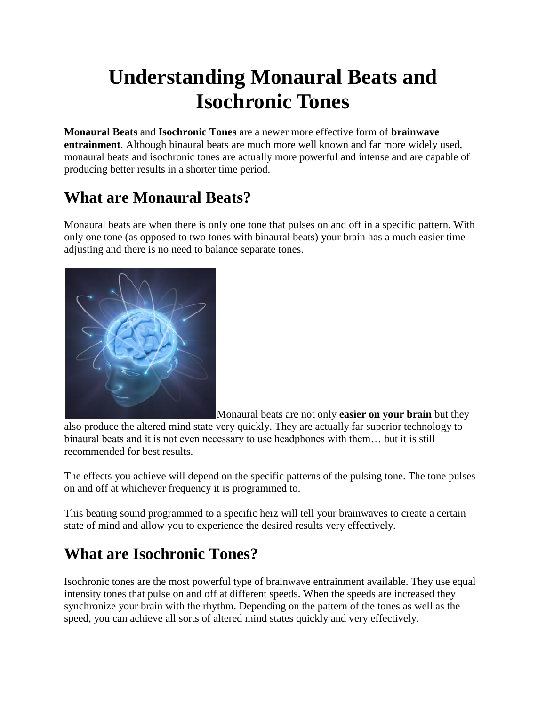# **Understanding Monaural Beats and Isochronic Tones**

**Monaural Beats** and **Isochronic Tones** are a newer more effective form of **brainwave entrainment**. Although binaural beats are much more well known and far more widely used, monaural beats and isochronic tones are actually more powerful and intense and are capable of producing better results in a shorter time period.

## **What are Monaural Beats?**

Monaural beats are when there is only one tone that pulses on and off in a specific pattern. With only one tone (as opposed to two tones with binaural beats) your brain has a much easier time adjusting and there is no need to balance separate tones.



Monaural beats are not only **easier on your brain** but they

also produce the altered mind state very quickly. They are actually far superior technology to binaural beats and it is not even necessary to use headphones with them… but it is still recommended for best results.

The effects you achieve will depend on the specific patterns of the pulsing tone. The tone pulses on and off at whichever frequency it is programmed to.

This beating sound programmed to a specific herz will tell your brainwaves to create a certain state of mind and allow you to experience the desired results very effectively.

## **What are Isochronic Tones?**

Isochronic tones are the most powerful type of brainwave entrainment available. They use equal intensity tones that pulse on and off at different speeds. When the speeds are increased they synchronize your brain with the rhythm. Depending on the pattern of the tones as well as the speed, you can achieve all sorts of altered mind states quickly and very effectively.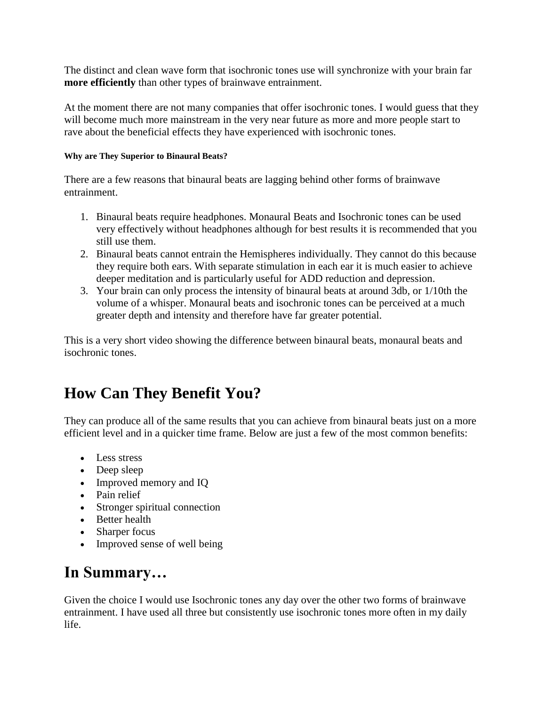The distinct and clean wave form that isochronic tones use will synchronize with your brain far **more efficiently** than other types of brainwave entrainment.

At the moment there are not many companies that offer isochronic tones. I would guess that they will become much more mainstream in the very near future as more and more people start to rave about the beneficial effects they have experienced with isochronic tones.

#### **Why are They Superior to Binaural Beats?**

There are a few reasons that binaural beats are lagging behind other forms of brainwave entrainment.

- 1. Binaural beats require headphones. Monaural Beats and Isochronic tones can be used very effectively without headphones although for best results it is recommended that you still use them.
- 2. Binaural beats cannot entrain the Hemispheres individually. They cannot do this because they require both ears. With separate stimulation in each ear it is much easier to achieve deeper meditation and is particularly useful for ADD reduction and depression.
- 3. Your brain can only process the intensity of binaural beats at around 3db, or 1/10th the volume of a whisper. Monaural beats and isochronic tones can be perceived at a much greater depth and intensity and therefore have far greater potential.

This is a very short video showing the difference between binaural beats, monaural beats and isochronic tones.

## **How Can They Benefit You?**

They can produce all of the same results that you can achieve from binaural beats just on a more efficient level and in a quicker time frame. Below are just a few of the most common benefits:

- Less stress
- Deep sleep
- Improved memory and IQ
- Pain relief
- Stronger spiritual connection
- Better health
- Sharper focus
- Improved sense of well being

### **In Summary…**

Given the choice I would use Isochronic tones any day over the other two forms of brainwave entrainment. I have used all three but consistently use isochronic tones more often in my daily life.